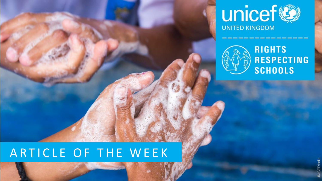



#### ARTICLE OF THE WEEK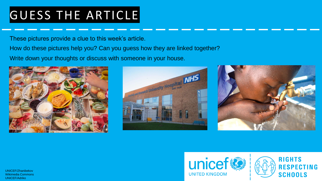#### GUESS THE ARTICLE

These pictures provide a clue to this week's article.

How do these pictures help you? Can you guess how they are linked together?

Write down your thoughts or discuss with someone in your house.









UNICEF/Zhanibekov Wikimedia Commons UNICEF/Adriko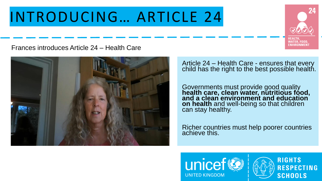### INTRODUCING… ARTICLE 24



Frances introduces Article 24 – Health Care



Article 24 – Health Care - ensures that every child has the right to the best possible health.

Governments must provide good quality **health care, clean water, nutritious food, and a clean environment and education on health** and well-being so that children can stay healthy.

Richer countries must help poorer countries achieve this.



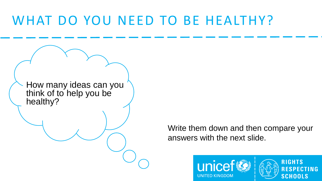#### WHAT DO YOU NEED TO BE HEALTHY?

How many ideas can you think of to help you be healthy?

> Write them down and then compare your answers with the next slide.



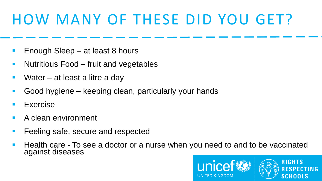### HOW MANY OF THESE DID YOU GET?

- Enough Sleep at least 8 hours
- Nutritious Food fruit and vegetables
- Water  $-$  at least a litre a day
- Good hygiene keeping clean, particularly your hands
- **Exercise**
- A clean environment
- Feeling safe, secure and respected
- Health care To see a doctor or a nurse when you need to and to be vaccinated against diseases

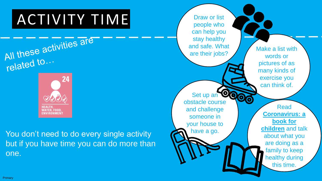# ACTIVITY TIME



**ENVIRONMENT** 

You don't need to do every single activity but if you have time you can do more than one.

Draw or list people who can help you stay healthy and safe. What Make a list with are their jobs? words or pictures of as many kinds of exercise you can think of. Set up an On ධ obstacle course Read and challenge **[Coronavirus: a](https://nosycrowcoronavirus.s3-eu-west-1.amazonaws.com/Coronavirus_ABookForChildren.pdf)**  someone in **book for**  your house to **children** and talk have a go. about what you are doing as a family to keep healthy during this time.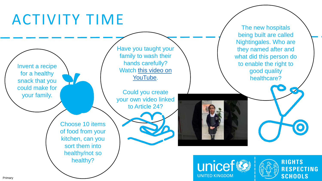### ACTIVITY TIME

Invent a recipe for a healthy snack that you could make for your family.

Have you taught your family to wash their hands carefully? Wat[ch this video on](https://youtu.be/eEeFJcs_euM) YouTube.

Could you create your own video linked to Article 24?

Choose 10 items of food from your kitchen, can you sort them into healthy/not so healthy?

unicef **UNITED KINGDOM** 



 $\bullet$ 

The new hospitals

being built are called

Nightingales. Who are

they named after and

what did this person do

to enable the right to

good quality

healthcare?

Primary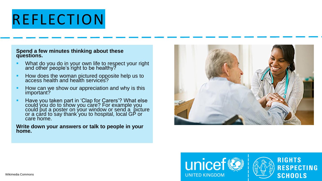## REFLECTION

#### **Spend a few minutes thinking about these questions.**

- **EXTERN What do you do in your own life to respect your right** and other people's right to be healthy?
- How does the woman pictured opposite help us to access health and health services?
- How can we show our appreciation and why is this important?
- Have you taken part in 'Clap for Carers'? What else could you do to show you care? For example you could put a poster on your window or send a picture or a card to say thank you to hospital, local GP or care home.

#### **Write down your answers or talk to people in your home.**



**RIGHTS** 

**SCHOOLS** 

**RESPECTING**